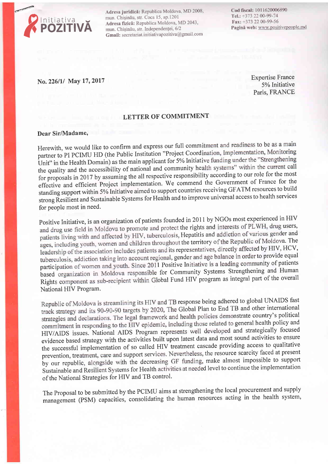

Adresa juridică: Republica Moldova, MD 2008, mun. Chișinău, str. Coca 15, ap.1201 Adresa fizică: Republica Moldova, MD 2043, mun. Chișinău, str. Independenței, 6/2 Gmail: secretariat.initiativapozitiva@gmail.com Cod fiscal: 1011620006890 Tel.: +373 22 00-99-74 Fax: +373 22 00-99-56 Pagină web: www.positivepeople.md

## No. 226/1/ May 17, 2017

Expertise France 5% Initiative Paris, FRANCE

## LETTER OF COMMITMENT

## Dear Sir/Madame,

Herewith, we would like to confirm and express our full commitment and readiness to be as a main partner to PI PCIMU HD (the Public Institution "Project Coordination, Implementation, Monitoring Unit" in the Health Domain) as the main applicant for 5% Initiative funding under the "Strengthening the quality and the accessibility of national and community health systems" within the current call for proposals in 2017 by assuming the all respective responsibility according to our role for the most effective and efficient Project implementation. We commend the Government of France for the standing support within 5% Initiative aimed to support countries receiving GFATM resources to build strong Resilient and Sustainable Systems for Health and to improve universal access to health services for people most in need.

Positive Initiative, is an organization of patients founded in 2011 by NGOs most experienced in HIV and drug use field in Moldova to promote and protect the rights and interests of PLWH, drug users, patients living with and affected by HIV, tuberculosis, Hepatitis and addiction of various gender and ages, including youth, women and children throughout the territory of the Republic of Moldova. The leadership of the association includes patients and its representatives, directly affected by HIV, HCV, tuberculosis, addiction taking into account regional, gender and age balance in order to provide equal participation of women and youth. Since 2011 Positive Initiative is a leading community of patients<br>participation of women and youth. Since 2011 Positive Initiative is a leading community of patients based organization in Moldova responsible for Community Systems Strengthening and Human Rights component as sub-recipient within Global Fund HIV program as integral part of the overall National HIV Program.

Republic of Moldova is streamlining its HIV and TB response being adhered to global UNAIDS fast track strategy and its 90-90-90 targets by 2020, The Global Plan to End TB and other international strategies and declarations. The legal framework and health policies demonstrate country's political commitment in responding to the HIV epidemic, including those related to general health policy and HIV/AIDS issues. National AIDS Program represents well developed and strategically focused evidence based strategy with the activities built upon latest data and most sound activities to ensure the successful implementation of so called HIV treatment cascade providing access to qualitative prevention, treatment, care and support services. Nevertheless, the resource scarcity faced at present by our republic, alongside with the decreasing GF funding, make almost impossible to support Sustainable and Resilient Systems for Health activities at needed level to continue the implementation of the National Strategies for HIV and TB control.

The proposal to be submitted by the pcIMU aims at strengthening the local procurement and supply management (pSM) capacities, consolidating the human resources acting in the health system,